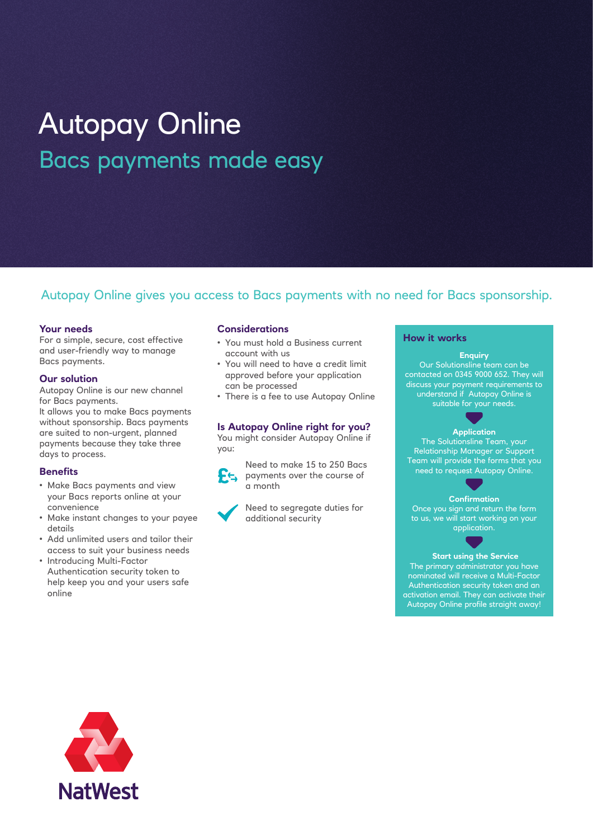# Autopay Online Bacs payments made easy

# Autopay Online gives you access to Bacs payments with no need for Bacs sponsorship.

#### **Your needs**

For a simple, secure, cost effective and user-friendly way to manage Bacs payments.

#### **Our solution**

Autopay Online is our new channel for Bacs payments.

It allows you to make Bacs payments without sponsorship. Bacs payments are suited to non-urgent, planned payments because they take three days to process.

#### **Benefits**

- Make Bacs payments and view your Bacs reports online at your convenience
- Make instant changes to your payee details
- Add unlimited users and tailor their access to suit your business needs
- Introducing Multi-Factor Authentication security token to help keep you and your users safe online

#### **Considerations**

- You must hold a Business current account with us
- You will need to have a credit limit approved before your application can be processed
- There is a fee to use Autopay Online

#### **Is Autopay Online right for you?**

You might consider Autopay Online if you:



Need to make 15 to 250 Bacs payments over the course of a month



Need to segregate duties for

#### **How it works**

#### **Enquiry**

Our Solutionsline team can be contacted on 0345 9000 652. They will discuss your payment requirements to understand if Autopay Online is suitable for your needs.

# **Application**

The Solutionsline Team, your Relationship Manager or Support Team will provide the forms that you need to request Autopay Online.

# **Confirmation**

Once you sign and return the form to us, we will start working on your application.

 **Start using the Service**  The primary administrator you have nominated will receive a Multi-Factor Authentication security token and an activation email. They can activate their Autopay Online profile straight away!